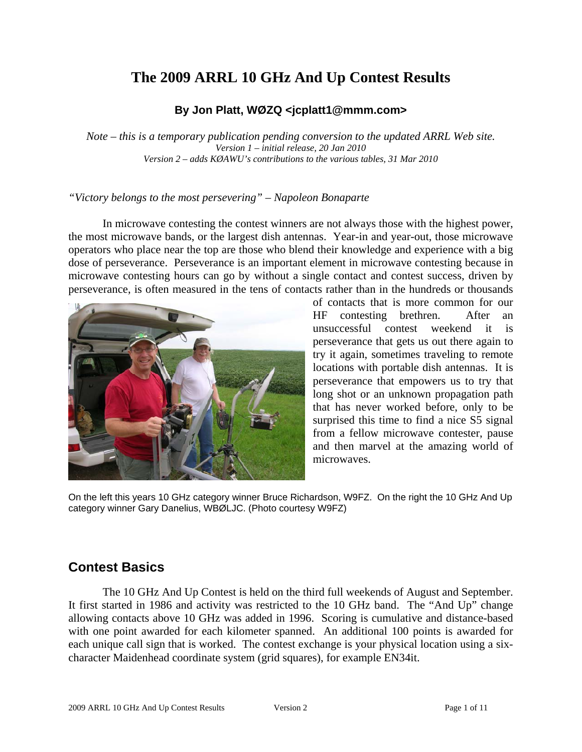# **The 2009 ARRL 10 GHz And Up Contest Results**

### **By Jon Platt, WØZQ <jcplatt1@mmm.com>**

*Note – this is a temporary publication pending conversion to the updated ARRL Web site. Version 1 – initial release, 20 Jan 2010 Version 2 – adds KØAWU's contributions to the various tables, 31 Mar 2010* 

#### *"Victory belongs to the most persevering" – Napoleon Bonaparte*

In microwave contesting the contest winners are not always those with the highest power, the most microwave bands, or the largest dish antennas. Year-in and year-out, those microwave operators who place near the top are those who blend their knowledge and experience with a big dose of perseverance. Perseverance is an important element in microwave contesting because in microwave contesting hours can go by without a single contact and contest success, driven by perseverance, is often measured in the tens of contacts rather than in the hundreds or thousands



of contacts that is more common for our HF contesting brethren. After an unsuccessful contest weekend it is perseverance that gets us out there again to try it again, sometimes traveling to remote locations with portable dish antennas. It is perseverance that empowers us to try that long shot or an unknown propagation path that has never worked before, only to be surprised this time to find a nice S5 signal from a fellow microwave contester, pause and then marvel at the amazing world of microwaves.

On the left this years 10 GHz category winner Bruce Richardson, W9FZ. On the right the 10 GHz And Up category winner Gary Danelius, WBØLJC. (Photo courtesy W9FZ)

# **Contest Basics**

The 10 GHz And Up Contest is held on the third full weekends of August and September. It first started in 1986 and activity was restricted to the 10 GHz band. The "And Up" change allowing contacts above 10 GHz was added in 1996. Scoring is cumulative and distance-based with one point awarded for each kilometer spanned. An additional 100 points is awarded for each unique call sign that is worked. The contest exchange is your physical location using a sixcharacter Maidenhead coordinate system (grid squares), for example EN34it.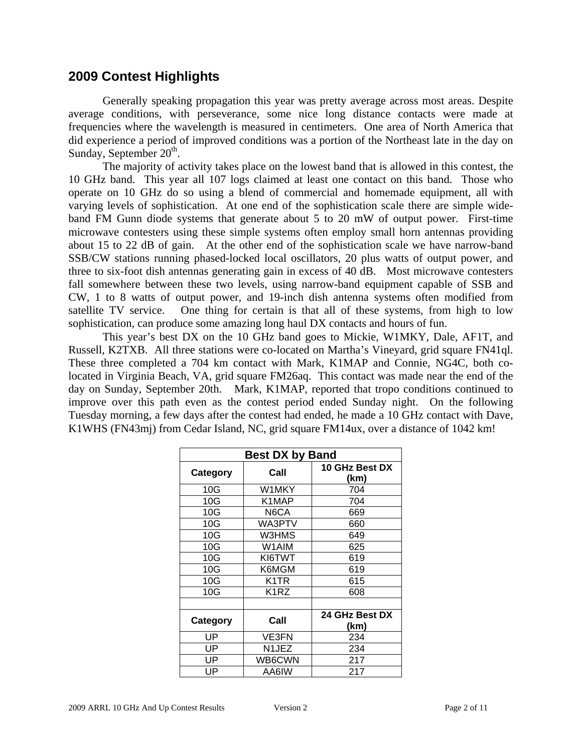### **2009 Contest Highlights**

Generally speaking propagation this year was pretty average across most areas. Despite average conditions, with perseverance, some nice long distance contacts were made at frequencies where the wavelength is measured in centimeters. One area of North America that did experience a period of improved conditions was a portion of the Northeast late in the day on Sunday, September  $20<sup>th</sup>$ .

The majority of activity takes place on the lowest band that is allowed in this contest, the 10 GHz band. This year all 107 logs claimed at least one contact on this band. Those who operate on 10 GHz do so using a blend of commercial and homemade equipment, all with varying levels of sophistication. At one end of the sophistication scale there are simple wideband FM Gunn diode systems that generate about 5 to 20 mW of output power. First-time microwave contesters using these simple systems often employ small horn antennas providing about 15 to 22 dB of gain. At the other end of the sophistication scale we have narrow-band SSB/CW stations running phased-locked local oscillators, 20 plus watts of output power, and three to six-foot dish antennas generating gain in excess of 40 dB. Most microwave contesters fall somewhere between these two levels, using narrow-band equipment capable of SSB and CW, 1 to 8 watts of output power, and 19-inch dish antenna systems often modified from satellite TV service. One thing for certain is that all of these systems, from high to low sophistication, can produce some amazing long haul DX contacts and hours of fun.

This year's best DX on the 10 GHz band goes to Mickie, W1MKY, Dale, AF1T, and Russell, K2TXB. All three stations were co-located on Martha's Vineyard, grid square FN41ql. These three completed a 704 km contact with Mark, K1MAP and Connie, NG4C, both colocated in Virginia Beach, VA, grid square FM26aq. This contact was made near the end of the day on Sunday, September 20th. Mark, K1MAP, reported that tropo conditions continued to improve over this path even as the contest period ended Sunday night. On the following Tuesday morning, a few days after the contest had ended, he made a 10 GHz contact with Dave, K1WHS (FN43mj) from Cedar Island, NC, grid square FM14ux, over a distance of 1042 km!

| <b>Best DX by Band</b> |              |                        |  |  |  |
|------------------------|--------------|------------------------|--|--|--|
| Category               | Call         | 10 GHz Best DX<br>(km) |  |  |  |
| 10G                    | W1MKY        | 704                    |  |  |  |
| 10G                    | K1MAP        | 704                    |  |  |  |
| 10G                    | N6CA         | 669                    |  |  |  |
| 10G                    | WA3PTV       | 660                    |  |  |  |
| 10G                    | W3HMS        | 649                    |  |  |  |
| 10G                    | W1AIM        | 625                    |  |  |  |
| 10G                    | KI6TWT       | 619                    |  |  |  |
| 10G                    | K6MGM        | 619                    |  |  |  |
| 10G                    | K1TR         | 615                    |  |  |  |
| 10G                    | K1RZ         | 608                    |  |  |  |
|                        |              |                        |  |  |  |
| Category               | Call         | 24 GHz Best DX         |  |  |  |
|                        |              | (km)                   |  |  |  |
| UP                     | <b>VE3FN</b> | 234                    |  |  |  |
| UP                     | N1JEZ        | 234                    |  |  |  |
| UP                     | WB6CWN       | 217                    |  |  |  |
| UP                     | AA6IW        | 217                    |  |  |  |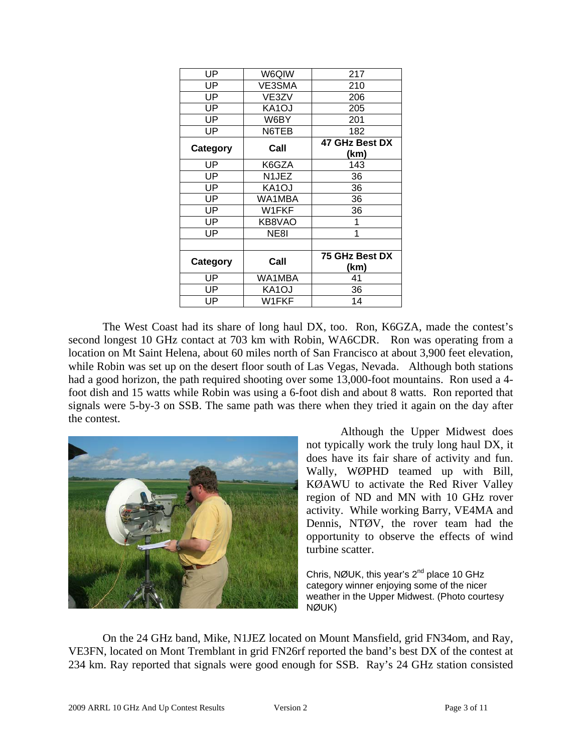| UP       | W6QIW  | 217                    |
|----------|--------|------------------------|
| UP       | VE3SMA | 210                    |
| UP       | VE3ZV  | 206                    |
| UP       | KA1OJ  | 205                    |
| UP       | W6BY   | 201                    |
| UP       | N6TEB  | 182                    |
| Category | Call   | 47 GHz Best DX         |
|          |        | (km)                   |
| UP       | K6GZA  | 143                    |
| UP       | N1JEZ  | 36                     |
| UP       | KA1OJ  | 36                     |
| UP       | WA1MBA | 36                     |
| UP       | W1FKF  | 36                     |
| UP       | KB8VAO | 1                      |
| UP       | NE8I   | 1                      |
|          |        |                        |
| Category | Call   | 75 GHz Best DX<br>(km) |
| UP       | WA1MBA | 41                     |
| UP       | KA1OJ  | 36                     |
| UP       | W1FKF  | 14                     |

The West Coast had its share of long haul DX, too. Ron, K6GZA, made the contest's second longest 10 GHz contact at 703 km with Robin, WA6CDR. Ron was operating from a location on Mt Saint Helena, about 60 miles north of San Francisco at about 3,900 feet elevation, while Robin was set up on the desert floor south of Las Vegas, Nevada. Although both stations had a good horizon, the path required shooting over some 13,000-foot mountains. Ron used a 4 foot dish and 15 watts while Robin was using a 6-foot dish and about 8 watts. Ron reported that signals were 5-by-3 on SSB. The same path was there when they tried it again on the day after the contest.



Although the Upper Midwest does not typically work the truly long haul DX, it does have its fair share of activity and fun. Wally, WØPHD teamed up with Bill, KØAWU to activate the Red River Valley region of ND and MN with 10 GHz rover activity. While working Barry, VE4MA and Dennis, NTØV, the rover team had the opportunity to observe the effects of wind turbine scatter.

Chris, NØUK, this year's 2<sup>nd</sup> place 10 GHz category winner enjoying some of the nicer weather in the Upper Midwest. (Photo courtesy NØUK)

On the 24 GHz band, Mike, N1JEZ located on Mount Mansfield, grid FN34om, and Ray, VE3FN, located on Mont Tremblant in grid FN26rf reported the band's best DX of the contest at 234 km. Ray reported that signals were good enough for SSB. Ray's 24 GHz station consisted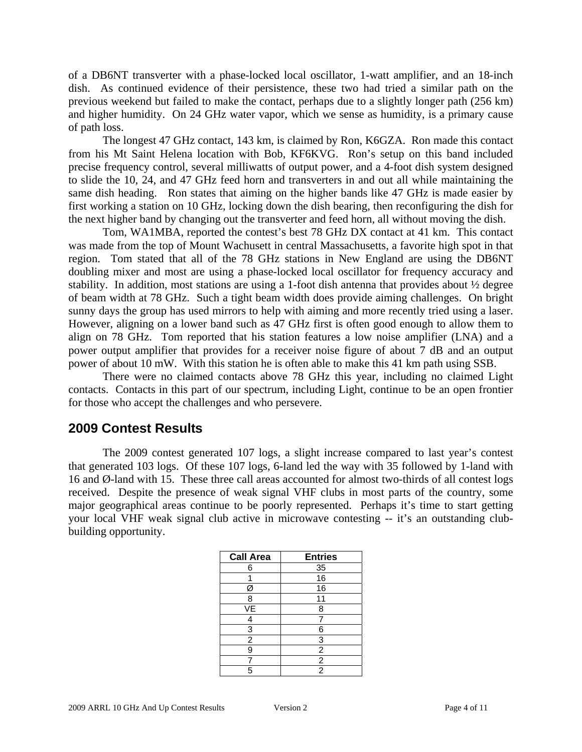of a DB6NT transverter with a phase-locked local oscillator, 1-watt amplifier, and an 18-inch dish. As continued evidence of their persistence, these two had tried a similar path on the previous weekend but failed to make the contact, perhaps due to a slightly longer path (256 km) and higher humidity. On 24 GHz water vapor, which we sense as humidity, is a primary cause of path loss.

The longest 47 GHz contact, 143 km, is claimed by Ron, K6GZA. Ron made this contact from his Mt Saint Helena location with Bob, KF6KVG. Ron's setup on this band included precise frequency control, several milliwatts of output power, and a 4-foot dish system designed to slide the 10, 24, and 47 GHz feed horn and transverters in and out all while maintaining the same dish heading. Ron states that aiming on the higher bands like 47 GHz is made easier by first working a station on 10 GHz, locking down the dish bearing, then reconfiguring the dish for the next higher band by changing out the transverter and feed horn, all without moving the dish.

Tom, WA1MBA, reported the contest's best 78 GHz DX contact at 41 km. This contact was made from the top of Mount Wachusett in central Massachusetts, a favorite high spot in that region. Tom stated that all of the 78 GHz stations in New England are using the DB6NT doubling mixer and most are using a phase-locked local oscillator for frequency accuracy and stability. In addition, most stations are using a 1-foot dish antenna that provides about ½ degree of beam width at 78 GHz. Such a tight beam width does provide aiming challenges. On bright sunny days the group has used mirrors to help with aiming and more recently tried using a laser. However, aligning on a lower band such as 47 GHz first is often good enough to allow them to align on 78 GHz. Tom reported that his station features a low noise amplifier (LNA) and a power output amplifier that provides for a receiver noise figure of about 7 dB and an output power of about 10 mW. With this station he is often able to make this 41 km path using SSB.

There were no claimed contacts above 78 GHz this year, including no claimed Light contacts. Contacts in this part of our spectrum, including Light, continue to be an open frontier for those who accept the challenges and who persevere.

### **2009 Contest Results**

The 2009 contest generated 107 logs, a slight increase compared to last year's contest that generated 103 logs. Of these 107 logs, 6-land led the way with 35 followed by 1-land with 16 and Ø-land with 15. These three call areas accounted for almost two-thirds of all contest logs received. Despite the presence of weak signal VHF clubs in most parts of the country, some major geographical areas continue to be poorly represented. Perhaps it's time to start getting your local VHF weak signal club active in microwave contesting -- it's an outstanding clubbuilding opportunity.

| <b>Call Area</b> | <b>Entries</b> |
|------------------|----------------|
| 6                | 35             |
|                  | 16             |
| Ø                | 16             |
| 8                | 11             |
| VE               | 8              |
| 4                |                |
| 3                | 6              |
| $\overline{c}$   | 3              |
| 9                | $\overline{c}$ |
|                  | $\overline{c}$ |
| 5                | 2              |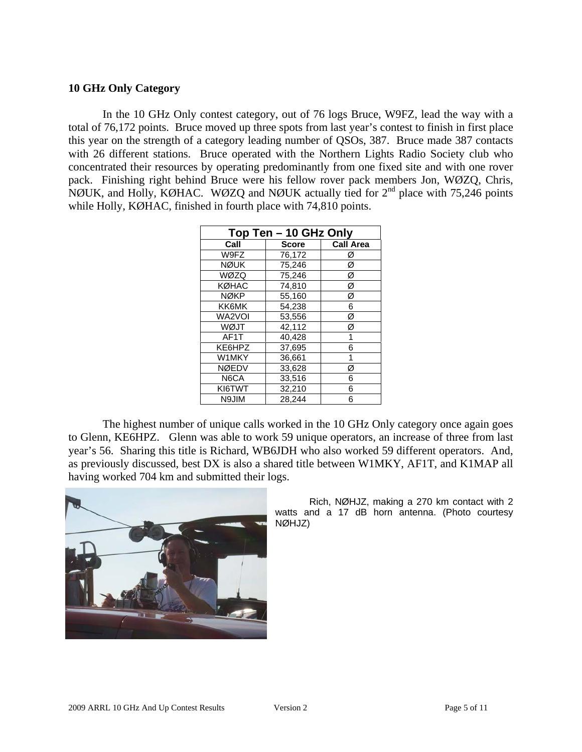#### **10 GHz Only Category**

In the 10 GHz Only contest category, out of 76 logs Bruce, W9FZ, lead the way with a total of 76,172 points. Bruce moved up three spots from last year's contest to finish in first place this year on the strength of a category leading number of QSOs, 387. Bruce made 387 contacts with 26 different stations. Bruce operated with the Northern Lights Radio Society club who concentrated their resources by operating predominantly from one fixed site and with one rover pack. Finishing right behind Bruce were his fellow rover pack members Jon, WØZQ, Chris, NØUK, and Holly, KØHAC. WØZQ and NØUK actually tied for 2<sup>nd</sup> place with 75,246 points while Holly, KØHAC, finished in fourth place with 74,810 points.

| Top Ten - 10 GHz Only |              |                  |  |  |  |  |
|-----------------------|--------------|------------------|--|--|--|--|
| Call                  | <b>Score</b> | <b>Call Area</b> |  |  |  |  |
| W9FZ                  | 76,172       | Ø                |  |  |  |  |
| <b>NØUK</b>           | 75,246       | Ø                |  |  |  |  |
| WØZQ                  | 75.246       | Ø                |  |  |  |  |
| <b>KØHAC</b>          | 74.810       | Ø                |  |  |  |  |
| <b>NØKP</b>           | 55.160       | Ø                |  |  |  |  |
| KK6MK                 | 54,238       | 6                |  |  |  |  |
| WA2VOI                | 53,556       | Ø                |  |  |  |  |
| WØJT                  | 42,112       | Ø                |  |  |  |  |
| AF1T                  | 40.428       | 1                |  |  |  |  |
| KE6HPZ                | 37.695       | 6                |  |  |  |  |
| W1MKY                 | 36,661       | 1                |  |  |  |  |
| <b>NØEDV</b>          | 33,628       | Ø                |  |  |  |  |
| N6CA                  | 33,516       | 6                |  |  |  |  |
| KI6TWT                | 32,210       | 6                |  |  |  |  |
| N9JIM                 | 28.244       | 6                |  |  |  |  |

The highest number of unique calls worked in the 10 GHz Only category once again goes to Glenn, KE6HPZ. Glenn was able to work 59 unique operators, an increase of three from last year's 56. Sharing this title is Richard, WB6JDH who also worked 59 different operators. And, as previously discussed, best DX is also a shared title between W1MKY, AF1T, and K1MAP all having worked 704 km and submitted their logs.



Rich, NØHJZ, making a 270 km contact with 2 watts and a 17 dB horn antenna. (Photo courtesy NØHJZ)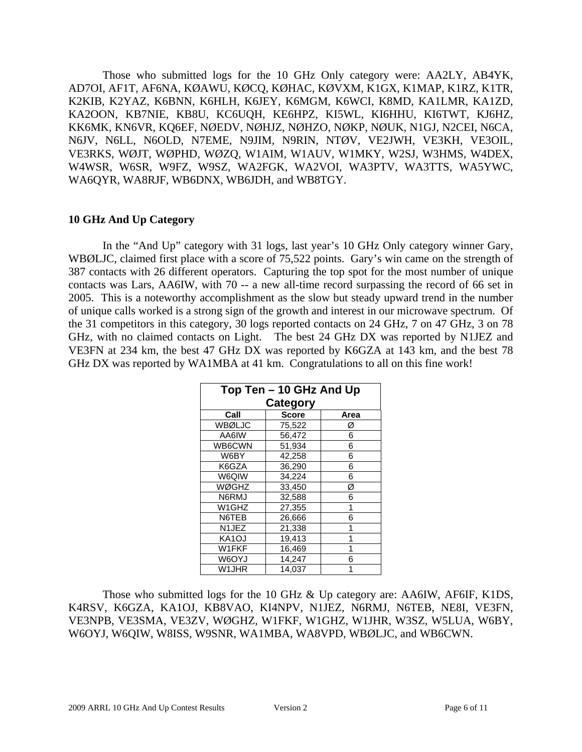Those who submitted logs for the 10 GHz Only category were: AA2LY, AB4YK, AD7OI, AF1T, AF6NA, KØAWU, KØCQ, KØHAC, KØVXM, K1GX, K1MAP, K1RZ, K1TR, K2KIB, K2YAZ, K6BNN, K6HLH, K6JEY, K6MGM, K6WCI, K8MD, KA1LMR, KA1ZD, KA2OON, KB7NIE, KB8U, KC6UQH, KE6HPZ, KI5WL, KI6HHU, KI6TWT, KJ6HZ, KK6MK, KN6VR, KQ6EF, NØEDV, NØHJZ, NØHZO, NØKP, NØUK, N1GJ, N2CEI, N6CA, N6JV, N6LL, N6OLD, N7EME, N9JIM, N9RIN, NTØV, VE2JWH, VE3KH, VE3OIL, VE3RKS, WØJT, WØPHD, WØZQ, W1AIM, W1AUV, W1MKY, W2SJ, W3HMS, W4DEX, W4WSR, W6SR, W9FZ, W9SZ, WA2FGK, WA2VOI, WA3PTV, WA3TTS, WA5YWC, WA6QYR, WA8RJF, WB6DNX, WB6JDH, and WB8TGY.

#### **10 GHz And Up Category**

In the "And Up" category with 31 logs, last year's 10 GHz Only category winner Gary, WBØLJC, claimed first place with a score of 75,522 points. Gary's win came on the strength of 387 contacts with 26 different operators. Capturing the top spot for the most number of unique contacts was Lars, AA6IW, with 70 -- a new all-time record surpassing the record of 66 set in 2005. This is a noteworthy accomplishment as the slow but steady upward trend in the number of unique calls worked is a strong sign of the growth and interest in our microwave spectrum. Of the 31 competitors in this category, 30 logs reported contacts on 24 GHz, 7 on 47 GHz, 3 on 78 GHz, with no claimed contacts on Light. The best 24 GHz DX was reported by N1JEZ and VE3FN at 234 km, the best 47 GHz DX was reported by K6GZA at 143 km, and the best 78 GHz DX was reported by WA1MBA at 41 km. Congratulations to all on this fine work!

| Top Ten - 10 GHz And Up |              |      |  |  |  |  |
|-------------------------|--------------|------|--|--|--|--|
| <b>Category</b>         |              |      |  |  |  |  |
| Call                    | <b>Score</b> | Area |  |  |  |  |
| WBØLJC                  | 75.522       | Ø    |  |  |  |  |
| AA6IW                   | 56,472       | 6    |  |  |  |  |
| WB6CWN                  | 51,934       | 6    |  |  |  |  |
| W6BY                    | 42,258       | 6    |  |  |  |  |
| K6GZA                   | 36,290       | 6    |  |  |  |  |
| W6QIW                   | 34,224       | 6    |  |  |  |  |
| <b>WØGHZ</b>            | 33,450       | Ø    |  |  |  |  |
| N6RMJ                   | 32,588       | 6    |  |  |  |  |
| W1GHZ                   | 27,355       | 1    |  |  |  |  |
| N6TEB                   | 26,666       | 6    |  |  |  |  |
| N1JEZ                   | 21.338       | 1    |  |  |  |  |
| KA <sub>1</sub> OJ      | 19,413       | 1    |  |  |  |  |
| W1FKF                   | 16,469       | 1    |  |  |  |  |
| W6OYJ                   | 14,247       | 6    |  |  |  |  |
| W1JHR                   | 14,037       | 1    |  |  |  |  |

Those who submitted logs for the 10 GHz & Up category are: AA6IW, AF6IF, K1DS, K4RSV, K6GZA, KA1OJ, KB8VAO, KI4NPV, N1JEZ, N6RMJ, N6TEB, NE8I, VE3FN, VE3NPB, VE3SMA, VE3ZV, WØGHZ, W1FKF, W1GHZ, W1JHR, W3SZ, W5LUA, W6BY, W6OYJ, W6QIW, W8ISS, W9SNR, WA1MBA, WA8VPD, WBØLJC, and WB6CWN.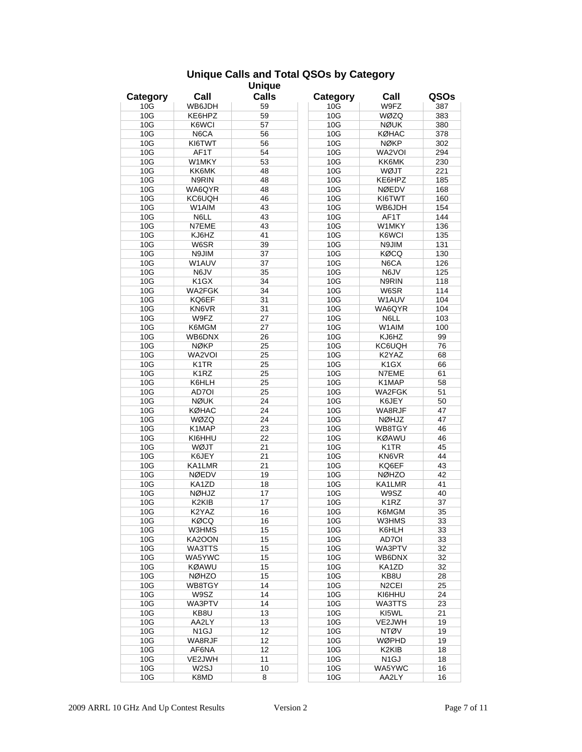#### **Unique Calls and Total QSOs by Category**

| <b>Unique</b> |                    |              |          |                    |      |  |
|---------------|--------------------|--------------|----------|--------------------|------|--|
| Category      | Call               | <b>Calls</b> | Category | Call               | QSOs |  |
| 10G           | WB6JDH             | 59           | 10G      | W9FZ               | 387  |  |
| 10G           | KE6HPZ             | 59           | 10G      | WØZQ               | 383  |  |
| 10G           | K6WCI              | 57           | 10G      | <b>NØUK</b>        | 380  |  |
| 10G           | N6CA               | 56           | 10G      | KØHAC              | 378  |  |
| 10G           | KI6TWT             | 56           | 10G      | <b>NØKP</b>        | 302  |  |
| 10G           | AF <sub>1</sub> T  | 54           | 10G      | WA2VOI             | 294  |  |
| 10G           | W1MKY              | 53           |          | KK6MK              | 230  |  |
|               |                    |              | 10G      |                    |      |  |
| 10G           | KK6MK              | 48           | 10G      | WØJT               | 221  |  |
| 10G           | N9RIN              | 48           | 10G      | KE6HPZ             | 185  |  |
| 10G           | WA6QYR             | 48           | 10G      | <b>NØEDV</b>       | 168  |  |
| 10G           | KC6UQH             | 46           | 10G      | KI6TWT             | 160  |  |
| 10G           | W1AIM              | 43           | 10G      | WB6JDH             | 154  |  |
| 10G           | N6LL               | 43           | 10G      | AF1T               | 144  |  |
| 10G           | N7EME              | 43           | 10G      | W1MKY              | 136  |  |
| 10G           | KJ6HZ              | 41           | 10G      | K6WCI              | 135  |  |
| 10G           | W6SR               | 39           | 10G      | N9JIM              | 131  |  |
| 10G           | N9JIM              | 37           | 10G      | KØCQ               | 130  |  |
| 10G           | W1AUV              | 37           | 10G      | N6CA               | 126  |  |
| 10G           | N6JV               | 35           | 10G      | N6JV               | 125  |  |
| 10G           | K <sub>1</sub> GX  | 34           | 10G      | N9RIN              | 118  |  |
| 10G           | WA2FGK             | 34           | 10G      | W6SR               | 114  |  |
| 10G           | KQ6EF              | 31           | 10G      | W1AUV              | 104  |  |
| 10G           | KN6VR              | 31           | 10G      | WA6QYR             | 104  |  |
| 10G           | W9FZ               | 27           | 10G      | N6LL               | 103  |  |
| 10G           | K6MGM              | 27           | 10G      | W1AIM              | 100  |  |
| 10G           | WB6DNX             | 26           | 10G      | KJ6HZ              | 99   |  |
| 10G           | <b>NØKP</b>        | 25           | 10G      | KC6UQH             | 76   |  |
| 10G           | WA2VOI             | 25           | 10G      | K2YAZ              | 68   |  |
|               |                    |              |          |                    |      |  |
| 10G           | K1TR               | 25           | 10G      | K <sub>1</sub> GX  | 66   |  |
| 10G           | K1RZ               | 25           | 10G      | N7EME              | 61   |  |
| 10G           | K6HLH              | 25           | 10G      | K1MAP              | 58   |  |
| 10G           | AD7OI              | 25           | 10G      | WA2FGK             | 51   |  |
| 10G           | <b>NØUK</b>        | 24           | 10G      | K6JEY              | 50   |  |
| 10G           | <b>KØHAC</b>       | 24           | 10G      | WA8RJF             | 47   |  |
| 10G           | WØZQ               | 24           | 10G      | <b>NØHJZ</b>       | 47   |  |
| 10G           | K1MAP              | 23           | 10G      | WB8TGY             | 46   |  |
| 10G           | KI6HHU             | 22           | 10G      | <b>KØAWU</b>       | 46   |  |
| 10G           | WØJT               | 21           | 10G      | K <sub>1</sub> TR  | 45   |  |
| 10G           | K6JEY              | 21           | 10G      | KN6VR              | 44   |  |
| 10G           | KA1LMR             | 21           | 10G      | KQ6EF              | 43   |  |
| 10G           | <b>NØEDV</b>       | 19           | 10G      | <b>NØHZO</b>       | 42   |  |
| 10G           | KA1ZD              | 18           | 10G      | KA1LMR             | 41   |  |
| 10G           | NØHJZ              | 17           | 10G      | W9SZ               | 40   |  |
| 10G           | K <sub>2</sub> KIB | 17           | 10G      | K <sub>1</sub> RZ  | 37   |  |
| 10G           | K2YAZ              | 16           | 10G      | K6MGM              | 35   |  |
| 10G           | <b>KØCQ</b>        | 16           | 10G      | W3HMS              | 33   |  |
| 10G           | W3HMS              | 15           | 10G      | K6HLH              | 33   |  |
| 10G           | KA2OON             | 15           | 10G      | AD7OI              | 33   |  |
| 10G           | WA3TTS             | 15           | 10G      | WA3PTV             | 32   |  |
| 10G           | WA5YWC             | 15           | 10G      | WB6DNX             | 32   |  |
|               |                    |              |          |                    |      |  |
| 10G           | <b>KØAWU</b>       | 15           | 10G      | KA1ZD              | 32   |  |
| 10G           | <b>NØHZO</b>       | 15           | 10G      | KB8U               | 28   |  |
| 10G           | WB8TGY             | 14           | 10G      | N <sub>2</sub> CEI | 25   |  |
| 10G           | W9SZ               | 14           | 10G      | KI6HHU             | 24   |  |
| 10G           | WA3PTV             | 14           | 10G      | WA3TTS             | 23   |  |
| 10G           | KB8U               | 13           | 10G      | KI5WL              | 21   |  |
| 10G           | AA2LY              | 13           | 10G      | VE2JWH             | 19   |  |
| 10G           | N <sub>1</sub> GJ  | 12           | 10G      | <b>NTØV</b>        | 19   |  |
| 10G           | WA8RJF             | 12           | 10G      | WØPHD              | 19   |  |
| 10G           | AF6NA              | 12           | 10G      | K2KIB              | 18   |  |
| 10G           | VE2JWH             | 11           | 10G      | N <sub>1</sub> GJ  | 18   |  |
| 10G           | W <sub>2</sub> SJ  | 10           | 10G      | WA5YWC             | 16   |  |
| 10G           | K8MD               | 8            | 10G      | AA2LY              | 16   |  |
|               |                    |              |          |                    |      |  |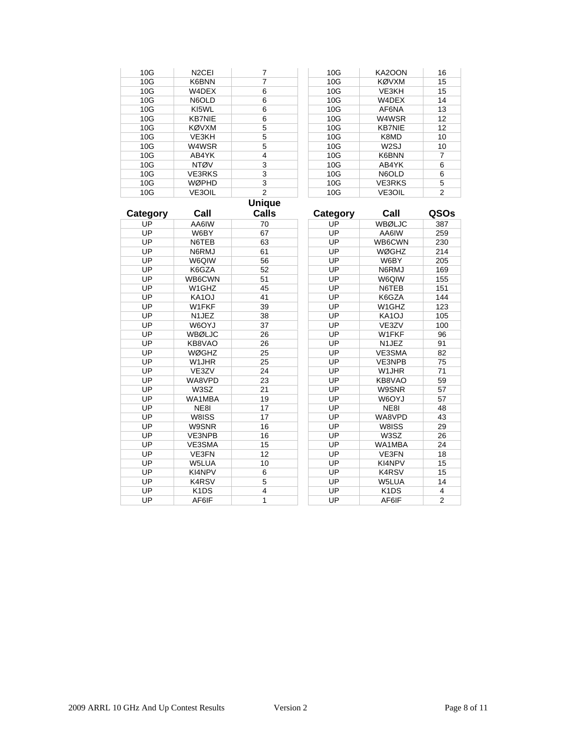| 10G | N <sub>2</sub> CEI |   | 10G | KA2OON            | 16 |
|-----|--------------------|---|-----|-------------------|----|
| 10G | K6BNN              | 7 | 10G | <b>KØVXM</b>      | 15 |
| 10G | W4DEX              | 6 | 10G | VE3KH             | 15 |
| 10G | N6OLD              | 6 | 10G | W4DEX             | 14 |
| 10G | KI5WL              | 6 | 10G | AF6NA             | 13 |
| 10G | <b>KB7NIE</b>      | 6 | 10G | W4WSR             | 12 |
| 10G | <b>KØVXM</b>       | 5 | 10G | <b>KB7NIE</b>     | 12 |
| 10G | VE3KH              | 5 | 10G | K8MD              | 10 |
| 10G | W4WSR              | 5 | 10G | W <sub>2</sub> SJ | 10 |
| 10G | AB4YK              | 4 | 10G | K6BNN             | 7  |
| 10G | <b>NTØV</b>        | 3 | 10G | AB4YK             | 6  |
| 10G | <b>VE3RKS</b>      | 3 | 10G | N6OLD             | 6  |
| 10G | <b>WØPHD</b>       | 3 | 10G | <b>VE3RKS</b>     | 5  |
| 10G | <b>VE3OIL</b>      | 2 | 10G | <b>VE3OIL</b>     | 2  |

# **Unique**

| Category | Call                          | Calls | Category | Call                          | QSOs           |
|----------|-------------------------------|-------|----------|-------------------------------|----------------|
| UP       | AA6IW                         | 70    | UP       | WBØLJC                        | 387            |
| UP       | W6BY                          | 67    | UP       | AA6IW                         | 259            |
| UP       | N6TEB                         | 63    | UP       | WB6CWN                        | 230            |
| UP       | N6RMJ                         | 61    | UP       | <b>WØGHZ</b>                  | 214            |
| UP       | W6QIW                         | 56    | UP       | W6BY                          | 205            |
| UP       | K6GZA                         | 52    | UP       | N6RMJ                         | 169            |
| UP       | WB6CWN                        | 51    | UP       | W6QIW                         | 155            |
| UP       | W1GHZ                         | 45    | UP       | N6TEB                         | 151            |
| UP       | KA1OJ                         | 41    | UP       | K6GZA                         | 144            |
| UP       | W1FKF                         | 39    | UP       | W1GHZ                         | 123            |
| UP       | N <sub>1</sub> JEZ            | 38    | UP       | KA <sub>1</sub> OJ            | 105            |
| UP       | W6OYJ                         | 37    | UP       | VE3ZV                         | 100            |
| UP       | WBØLJC                        | 26    | UP       | W1FKF                         | 96             |
| UP       | KB8VAO                        | 26    | UP       | N1JEZ                         | 91             |
| UP       | <b>WØGHZ</b>                  | 25    | UP       | VE3SMA                        | 82             |
| UP       | W1JHR                         | 25    | UP       | VE3NPB                        | 75             |
| UP       | VE3ZV                         | 24    | UP       | W <sub>1</sub> JHR            | 71             |
| UP       | WA8VPD                        | 23    | UP       | KB8VAO                        | 59             |
| UP       | W3SZ                          | 21    | UP       | W9SNR                         | 57             |
| UP       | WA1MBA                        | 19    | UP       | <b>W6OYJ</b>                  | 57             |
| UP       | NE8I                          | 17    | UP       | NE8I                          | 48             |
| UP       | W8ISS                         | 17    | UP       | WA8VPD                        | 43             |
| UP       | W9SNR                         | 16    | UP       | W8ISS                         | 29             |
| UP       | VE3NPB                        | 16    | UP       | W3SZ                          | 26             |
| UP       | VE3SMA                        | 15    | UP       | WA1MBA                        | 24             |
| UP       | <b>VE3FN</b>                  | 12    | UP       | VE3FN                         | 18             |
| UP       | W5LUA                         | 10    | UP       | KI4NPV                        | 15             |
| UP       | KI4NPV                        | 6     | UP       | <b>K4RSV</b>                  | 15             |
| UP       | <b>K4RSV</b>                  | 5     | UP       | W5LUA                         | 14             |
| UP       | K <sub>1</sub> D <sub>S</sub> | 4     | UP       | K <sub>1</sub> D <sub>S</sub> | 4              |
| UP       | AF6IF                         | 1     | UP       | AF6IF                         | $\overline{2}$ |
|          |                               |       |          |                               |                |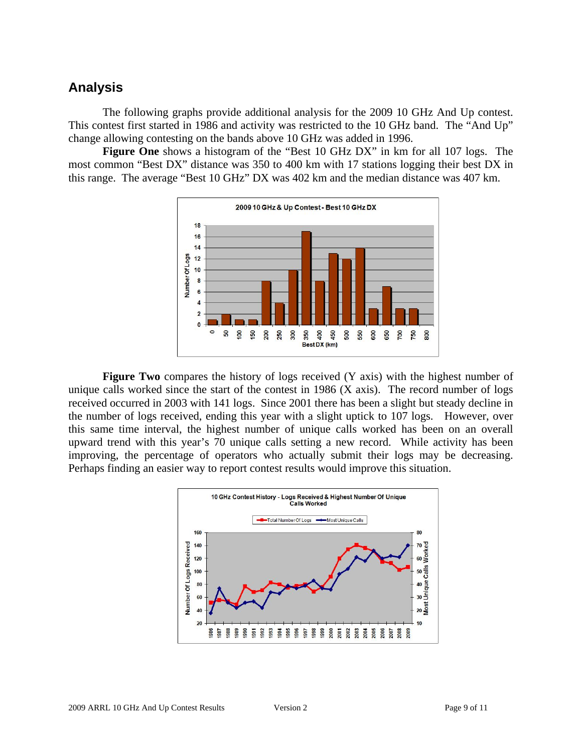# **Analysis**

The following graphs provide additional analysis for the 2009 10 GHz And Up contest. This contest first started in 1986 and activity was restricted to the 10 GHz band. The "And Up" change allowing contesting on the bands above 10 GHz was added in 1996.

**Figure One** shows a histogram of the "Best 10 GHz DX" in km for all 107 logs. The most common "Best DX" distance was 350 to 400 km with 17 stations logging their best DX in this range. The average "Best 10 GHz" DX was 402 km and the median distance was 407 km.



**Figure Two** compares the history of logs received (Y axis) with the highest number of unique calls worked since the start of the contest in 1986 (X axis). The record number of logs received occurred in 2003 with 141 logs. Since 2001 there has been a slight but steady decline in the number of logs received, ending this year with a slight uptick to 107 logs. However, over this same time interval, the highest number of unique calls worked has been on an overall upward trend with this year's 70 unique calls setting a new record. While activity has been improving, the percentage of operators who actually submit their logs may be decreasing. Perhaps finding an easier way to report contest results would improve this situation.

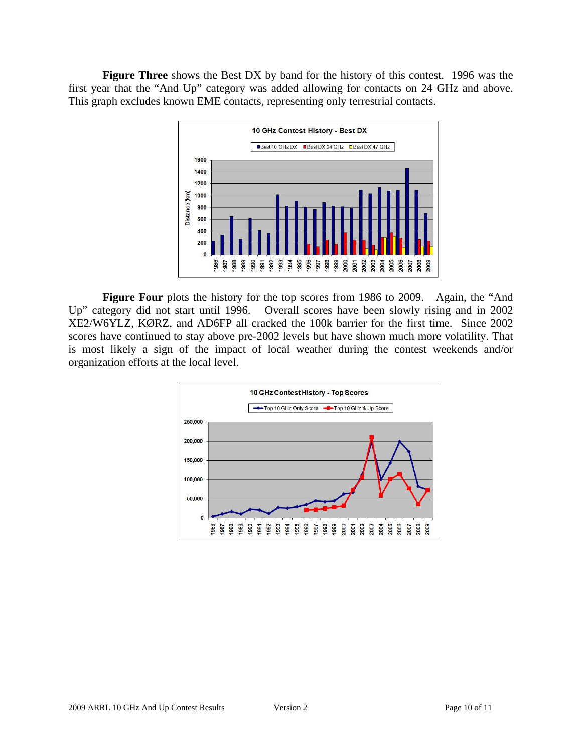**Figure Three** shows the Best DX by band for the history of this contest. 1996 was the first year that the "And Up" category was added allowing for contacts on 24 GHz and above. This graph excludes known EME contacts, representing only terrestrial contacts.



Figure Four plots the history for the top scores from 1986 to 2009. Again, the "And Up" category did not start until 1996. Overall scores have been slowly rising and in 2002 XE2/W6YLZ, KØRZ, and AD6FP all cracked the 100k barrier for the first time. Since 2002 scores have continued to stay above pre-2002 levels but have shown much more volatility. That is most likely a sign of the impact of local weather during the contest weekends and/or organization efforts at the local level.